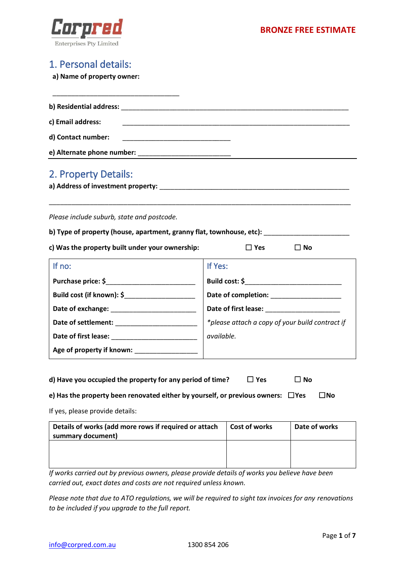

# 1. Personal details:

**a) Name of property owner:**

| b) Residential address: and the state of the state of the state of the state of the state of the state of the state of the state of the state of the state of the state of the state of the state of the state of the state of |  |
|--------------------------------------------------------------------------------------------------------------------------------------------------------------------------------------------------------------------------------|--|
| c) Email address:                                                                                                                                                                                                              |  |
| d) Contact number:                                                                                                                                                                                                             |  |
|                                                                                                                                                                                                                                |  |
| 2. Property Details:                                                                                                                                                                                                           |  |
| a) Address of investment property:                                                                                                                                                                                             |  |
|                                                                                                                                                                                                                                |  |
|                                                                                                                                                                                                                                |  |

*Please include suburb, state and postcode.*

|  |  | b) Type of property (house, apartment, granny flat, townhouse, etc): |  |  |
|--|--|----------------------------------------------------------------------|--|--|
|--|--|----------------------------------------------------------------------|--|--|

**c) Was the property built under your ownership:** ☐ **Yes** ☐ **No**

| If no:                    | If Yes:                                                                                                                                                                                                                        |
|---------------------------|--------------------------------------------------------------------------------------------------------------------------------------------------------------------------------------------------------------------------------|
| Purchase price: \$        | Build cost: \$                                                                                                                                                                                                                 |
| Build cost (if known): \$ |                                                                                                                                                                                                                                |
|                           | Date of first lease: Note that the same state of the same state of the same state of the same state of the same state of the same state of the same state of the same state of the same state of the same state of the same st |
|                           | *please attach a copy of your build contract if                                                                                                                                                                                |
|                           | available.                                                                                                                                                                                                                     |
| Age of property if known: |                                                                                                                                                                                                                                |

| d) Have you occupied the property for any period of time? | $\Box$ Yes | $\Box$ No |  |
|-----------------------------------------------------------|------------|-----------|--|
|-----------------------------------------------------------|------------|-----------|--|

| e) Has the property been renovated either by yourself, or previous owners: $\;\;\Box$ Yes |  | $\square$ No |
|-------------------------------------------------------------------------------------------|--|--------------|
|-------------------------------------------------------------------------------------------|--|--------------|

If yes, please provide details:

| Details of works (add more rows if required or attach | <b>Cost of works</b> | Date of works |
|-------------------------------------------------------|----------------------|---------------|
| summary document)                                     |                      |               |
|                                                       |                      |               |
|                                                       |                      |               |
|                                                       |                      |               |
|                                                       |                      |               |

*If works carried out by previous owners, please provide details of works you believe have been carried out, exact dates and costs are not required unless known.*

*Please note that due to ATO regulations, we will be required to sight tax invoices for any renovations to be included if you upgrade to the full report.*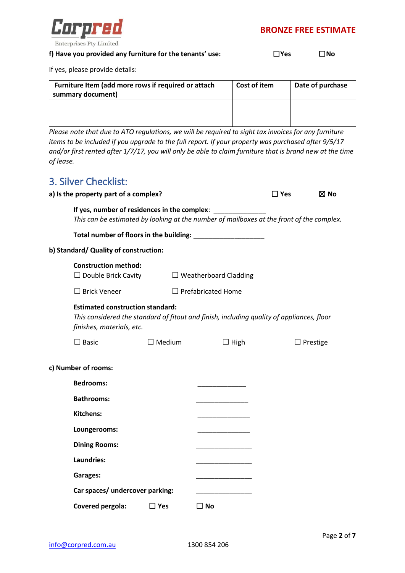

| <b>IYes</b> | ⊿No |
|-------------|-----|
|             |     |

If yes, please provide details:

| Furniture Item (add more rows if required or attach<br>summary document) | Cost of item | Date of purchase |
|--------------------------------------------------------------------------|--------------|------------------|
|                                                                          |              |                  |
|                                                                          |              |                  |

*Please note that due to ATO regulations, we will be required to sight tax invoices for any furniture items to be included if you upgrade to the full report. If your property was purchased after 9/5/17 and/or first rented after 1/7/17, you will only be able to claim furniture that is brand new at the time of lease.*

# 3. Silver Checklist:

| J. JIIVUI UIIUUNIJU<br>a) is the property part of a complex?                                                                                                      |               |                              | $\square$ Yes | $\boxtimes$ No  |
|-------------------------------------------------------------------------------------------------------------------------------------------------------------------|---------------|------------------------------|---------------|-----------------|
|                                                                                                                                                                   |               |                              |               |                 |
| If yes, number of residences in the complex:<br>This can be estimated by looking at the number of mailboxes at the front of the complex.                          |               |                              |               |                 |
|                                                                                                                                                                   |               |                              |               |                 |
| b) Standard/ Quality of construction:                                                                                                                             |               |                              |               |                 |
| <b>Construction method:</b><br>$\Box$ Double Brick Cavity                                                                                                         |               | $\Box$ Weatherboard Cladding |               |                 |
| $\Box$ Brick Veneer                                                                                                                                               |               | $\Box$ Prefabricated Home    |               |                 |
| <b>Estimated construction standard:</b><br>This considered the standard of fitout and finish, including quality of appliances, floor<br>finishes, materials, etc. |               |                              |               |                 |
| $\Box$ Basic                                                                                                                                                      | $\Box$ Medium | $\Box$ High                  |               | $\Box$ Prestige |
| c) Number of rooms:                                                                                                                                               |               |                              |               |                 |
| <b>Bedrooms:</b>                                                                                                                                                  |               |                              |               |                 |
| <b>Bathrooms:</b>                                                                                                                                                 |               |                              |               |                 |
| <b>Kitchens:</b>                                                                                                                                                  |               |                              |               |                 |
| Loungerooms:                                                                                                                                                      |               |                              |               |                 |
| <b>Dining Rooms:</b>                                                                                                                                              |               |                              |               |                 |
| Laundries:                                                                                                                                                        |               |                              |               |                 |
| <b>Garages:</b>                                                                                                                                                   |               |                              |               |                 |
|                                                                                                                                                                   |               |                              |               |                 |

Car spaces/ undercover parking:

**Covered pergola:** ☐ **Yes** ☐ **No**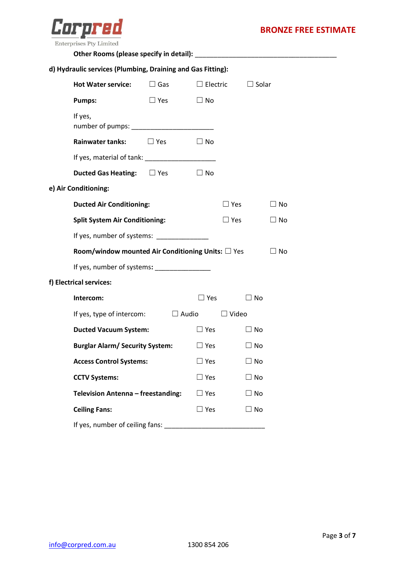

| d) Hydraulic services (Plumbing, Draining and Gas Fitting): |            |                 |               |              |           |  |
|-------------------------------------------------------------|------------|-----------------|---------------|--------------|-----------|--|
| <b>Hot Water service:</b>                                   | $\Box$ Gas | $\Box$ Electric |               | $\Box$ Solar |           |  |
| <b>Pumps:</b>                                               | $\Box$ Yes | $\Box$ No       |               |              |           |  |
| If yes,                                                     |            |                 |               |              |           |  |
| Rainwater tanks: $\square$ Yes                              |            | $\Box$ No       |               |              |           |  |
|                                                             |            |                 |               |              |           |  |
| <b>Ducted Gas Heating:</b> $\Box$ Yes $\Box$ No             |            |                 |               |              |           |  |
| e) Air Conditioning:                                        |            |                 |               |              |           |  |
| <b>Ducted Air Conditioning:</b>                             |            |                 | $\square$ Yes |              | $\Box$ No |  |
| <b>Split System Air Conditioning:</b>                       |            |                 | $\Box$ Yes    |              | $\Box$ No |  |
| If yes, number of systems: ______________                   |            |                 |               |              |           |  |
| Room/window mounted Air Conditioning Units: $\square$ Yes   |            |                 |               |              | $\Box$ No |  |
| If yes, number of systems: ________________                 |            |                 |               |              |           |  |
| f) Electrical services:                                     |            |                 |               |              |           |  |
| Intercom:                                                   |            |                 | $\Box$ Yes    | $\Box$ No    |           |  |
| If yes, type of intercom: $\Box$ Audio $\Box$ Video         |            |                 |               |              |           |  |
| <b>Ducted Vacuum System:</b>                                |            | $\square$ Yes   |               | $\Box$ No    |           |  |
| Burglar Alarm/Security System: DYes                         |            |                 |               | $\Box$ No    |           |  |
| <b>Access Control Systems:</b>                              |            | $\Box$ Yes      |               | $\Box$ No    |           |  |
| <b>CCTV Systems:</b>                                        |            | $\Box$ Yes      |               | $\Box$ No    |           |  |
| Television Antenna - freestanding:                          |            | $\square$ Yes   |               | $\Box$ No    |           |  |
| <b>Ceiling Fans:</b>                                        |            | $\square$ Yes   |               | $\square$ No |           |  |
| If yes, number of ceiling fans:                             |            |                 |               |              |           |  |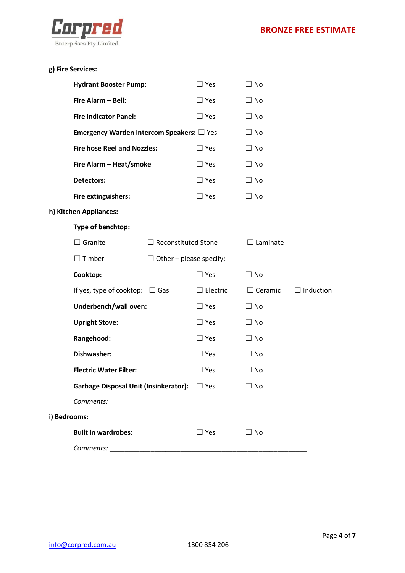

|              | <b>Hydrant Booster Pump:</b>                             |                            | $\Box$ Yes      | $\Box$ No       |                  |
|--------------|----------------------------------------------------------|----------------------------|-----------------|-----------------|------------------|
|              | Fire Alarm - Bell:                                       |                            | $\Box$ Yes      | $\Box$ No       |                  |
|              | <b>Fire Indicator Panel:</b>                             |                            | $\Box$ Yes      | $\Box$ No       |                  |
|              | <b>Emergency Warden Intercom Speakers:</b> $\square$ Yes |                            |                 | $\Box$ No       |                  |
|              | <b>Fire hose Reel and Nozzles:</b>                       |                            | $\Box$ Yes      | $\Box$ No       |                  |
|              | Fire Alarm - Heat/smoke                                  |                            | $\Box$ Yes      | $\Box$ No       |                  |
|              | <b>Detectors:</b>                                        |                            | $\Box$ Yes      | $\Box$ No       |                  |
|              | Fire extinguishers:                                      |                            | $\Box$ Yes      | $\Box$ No       |                  |
|              | h) Kitchen Appliances:                                   |                            |                 |                 |                  |
|              | Type of benchtop:                                        |                            |                 |                 |                  |
|              | $\Box$ Granite                                           | $\Box$ Reconstituted Stone |                 | $\Box$ Laminate |                  |
|              | $\Box$ Timber                                            |                            |                 |                 |                  |
|              |                                                          |                            |                 |                 |                  |
|              | Cooktop:                                                 |                            | $\Box$ Yes      | $\Box$ No       |                  |
|              | If yes, type of cooktop: $\Box$ Gas                      |                            | $\Box$ Electric | $\Box$ Ceramic  | $\Box$ Induction |
|              | Underbench/wall oven:                                    |                            | $\Box$ Yes      | $\Box$ No       |                  |
|              | <b>Upright Stove:</b>                                    |                            | $\Box$ Yes      | $\Box$ No       |                  |
|              | Rangehood:                                               |                            | $\Box$ Yes      | $\Box$ No       |                  |
|              | Dishwasher:                                              |                            | $\Box$ Yes      | $\Box$ No       |                  |
|              | <b>Electric Water Filter:</b>                            |                            | $\Box$ Yes      | $\Box$ No       |                  |
|              | Garbage Disposal Unit (Insinkerator): □ Yes              |                            |                 | ∃ No            |                  |
|              |                                                          |                            |                 |                 |                  |
| i) Bedrooms: |                                                          |                            |                 |                 |                  |
|              | <b>Built in wardrobes:</b>                               |                            | $\Box$ Yes      | $\Box$ No       |                  |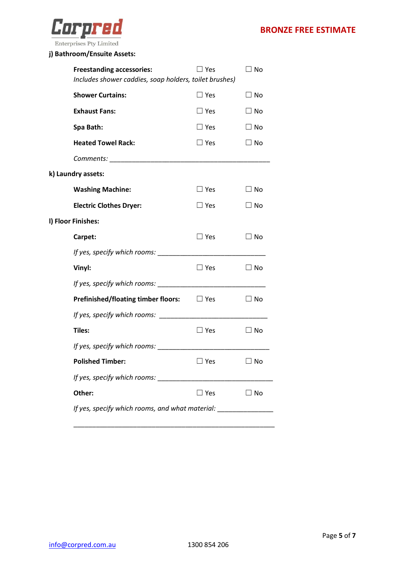

### **j) Bathroom/Ensuite Assets:**

| <b>Freestanding accessories:</b>           | ∃ Yes                                                  | $\Box$ No    |  |  |  |  |
|--------------------------------------------|--------------------------------------------------------|--------------|--|--|--|--|
|                                            | Includes shower caddies, soap holders, toilet brushes) |              |  |  |  |  |
| <b>Shower Curtains:</b>                    | $\Box$ Yes                                             | $\Box$ No    |  |  |  |  |
| <b>Exhaust Fans:</b>                       | $\Box$ Yes                                             | $\Box$ No    |  |  |  |  |
| Spa Bath:                                  | $\square$ Yes                                          | $\Box$ No    |  |  |  |  |
| <b>Heated Towel Rack:</b>                  | $\square$ Yes                                          | $\square$ No |  |  |  |  |
|                                            |                                                        |              |  |  |  |  |
| k) Laundry assets:                         |                                                        |              |  |  |  |  |
| <b>Washing Machine:</b>                    | $\square$ Yes                                          | $\Box$ No    |  |  |  |  |
| <b>Electric Clothes Dryer:</b>             | $\square$ Yes                                          | ∃ No         |  |  |  |  |
| I) Floor Finishes:                         |                                                        |              |  |  |  |  |
| Carpet:                                    | $\square$ Yes                                          | $\Box$ No    |  |  |  |  |
| If yes, specify which rooms:               |                                                        |              |  |  |  |  |
| Vinyl:                                     | $\Box$ Yes                                             | $\square$ No |  |  |  |  |
| If yes, specify which rooms: ______        |                                                        |              |  |  |  |  |
| <b>Prefinished/floating timber floors:</b> | $\Box$ Yes                                             | $\square$ No |  |  |  |  |
|                                            |                                                        |              |  |  |  |  |
| <b>Tiles:</b>                              | $\square$ Yes                                          | $\Box$ No    |  |  |  |  |
| If yes, specify which rooms: _____         |                                                        |              |  |  |  |  |
| <b>Polished Timber:</b>                    | $\Box$ Yes                                             | $\square$ No |  |  |  |  |
|                                            |                                                        |              |  |  |  |  |
| Other:                                     | $\square$ Yes                                          | $\Box$ No    |  |  |  |  |
|                                            | If yes, specify which rooms, and what material:        |              |  |  |  |  |
|                                            |                                                        |              |  |  |  |  |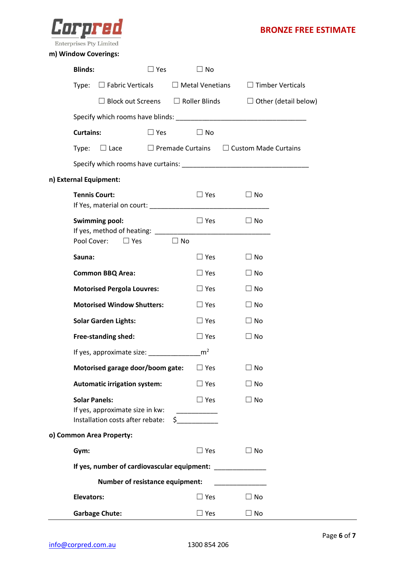

### **m) Window Coverings:**

| <b>Blinds:</b>                                                                              | $\square$ Yes                                               | $\Box$ No                                 |                                                                           |
|---------------------------------------------------------------------------------------------|-------------------------------------------------------------|-------------------------------------------|---------------------------------------------------------------------------|
| $\Box$ Fabric Verticals<br>Type:                                                            |                                                             | $\Box$ Metal Venetians                    | $\Box$ Timber Verticals                                                   |
|                                                                                             |                                                             |                                           | $\Box$ Block out Screens $\Box$ Roller Blinds $\Box$ Other (detail below) |
|                                                                                             |                                                             |                                           |                                                                           |
| <b>Curtains:</b>                                                                            | $\Box$ Yes                                                  | $\Box$ No                                 |                                                                           |
| $\Box$ Lace<br>Type:                                                                        |                                                             |                                           | $\Box$ Premade Curtains $\Box$ Custom Made Curtains                       |
|                                                                                             |                                                             |                                           |                                                                           |
| n) External Equipment:                                                                      |                                                             |                                           |                                                                           |
| <b>Tennis Court:</b>                                                                        |                                                             | $\Box$ Yes                                | $\Box$ No                                                                 |
| <b>Swimming pool:</b>                                                                       |                                                             | $\Box$ Yes                                | $\square$ No                                                              |
| Pool Cover:                                                                                 | $\Box$ Yes<br>$\Box$ No                                     |                                           |                                                                           |
| Sauna:                                                                                      |                                                             | $\Box$ Yes                                | $\Box$ No                                                                 |
| <b>Common BBQ Area:</b>                                                                     |                                                             | $\Box$ Yes                                | $\Box$ No                                                                 |
| <b>Motorised Pergola Louvres:</b>                                                           |                                                             | $\Box$ Yes                                | $\Box$ No                                                                 |
| <b>Motorised Window Shutters:</b>                                                           |                                                             | $\Box$ Yes                                | $\Box$ No                                                                 |
| <b>Solar Garden Lights:</b>                                                                 |                                                             | $\Box$ Yes                                | $\Box$ No                                                                 |
| Free-standing shed:                                                                         |                                                             | $\Box$ Yes                                | $\square$ No                                                              |
|                                                                                             | If yes, approximate size: ______                            | m <sup>2</sup>                            |                                                                           |
|                                                                                             | Motorised garage door/boom gate: $\square$ Yes              |                                           | $\Box$ No                                                                 |
| <b>Automatic irrigation system:</b>                                                         |                                                             | $\Box$ Yes                                | $\Box$ No                                                                 |
| <b>Solar Panels:</b><br>If yes, approximate size in kw:<br>Installation costs after rebate: |                                                             | $\Box$ Yes<br>__________<br>$\sim$ $\sim$ | $\Box$ No                                                                 |
| o) Common Area Property:                                                                    |                                                             |                                           |                                                                           |
| Gym:                                                                                        |                                                             | $\Box$ Yes                                | $\Box$ No                                                                 |
|                                                                                             | If yes, number of cardiovascular equipment: _______________ |                                           |                                                                           |
|                                                                                             | <b>Number of resistance equipment:</b>                      |                                           |                                                                           |
| <b>Elevators:</b>                                                                           |                                                             | $\square$ Yes                             | $\Box$ No                                                                 |
| <b>Garbage Chute:</b>                                                                       |                                                             | $\sqsupset$ Yes                           | $\Box$ No                                                                 |